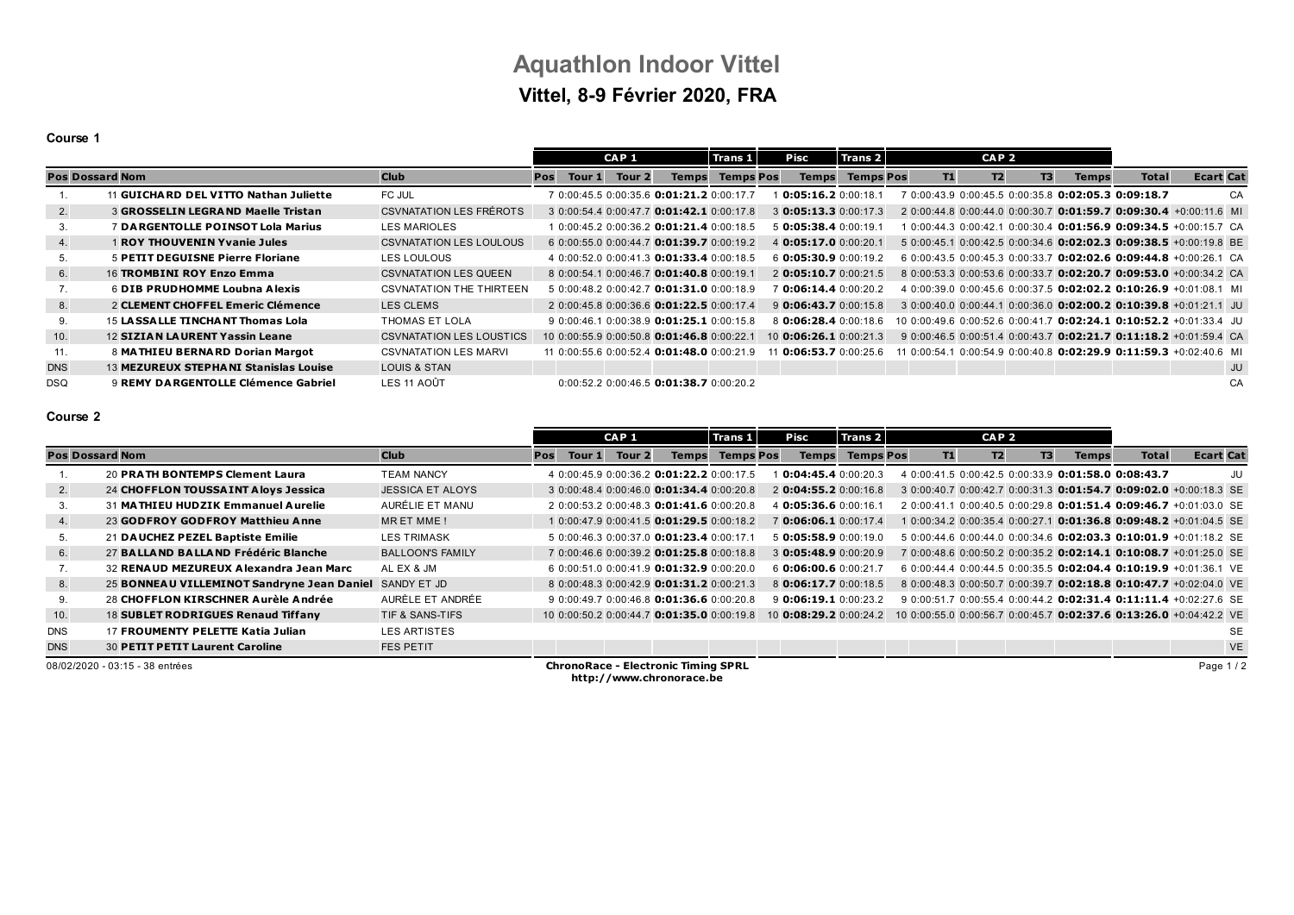# **Aquathlon Indoor Vittel Vittel, 8-9 Février 2020, FRA**

### **Course 1**

|                        |                                           |                                 |     |        | CAP <sub>1</sub> |                                                      | Trans 1          | Pisc                    | Trans 2          |    | CAP <sub>2</sub> |    |                                                   |              |                                                                              |
|------------------------|-------------------------------------------|---------------------------------|-----|--------|------------------|------------------------------------------------------|------------------|-------------------------|------------------|----|------------------|----|---------------------------------------------------|--------------|------------------------------------------------------------------------------|
| <b>Pos Dossard Nom</b> |                                           | <b>Club</b>                     | Pos | Tour 1 | Tour 2           | <b>Temps</b>                                         | <b>Temps Pos</b> | <b>Temps</b>            | <b>Temps Pos</b> | T1 | <b>T2</b>        | T3 | <b>Temps</b>                                      | <b>Total</b> | <b>Ecart Cat</b>                                                             |
|                        | 11 GUICHARD DEL VITTO Nathan Juliette     | FC JUL                          |     |        |                  | 7 0:00:45.5 0:00:35.6 0:01:21.2 0:00:17.7            |                  | 0:05:16.20:00:18.1      |                  |    |                  |    | 0:00:43.9 0:00:45.5 0:00:35.8 0:02:05.3 0:09:18.7 |              | CA                                                                           |
| 2.                     | <b>3 GROSSELIN LEGRAND Maelle Tristan</b> | <b>CSVNATATION LES FRÉROTS</b>  |     |        |                  | 3 0:00:54.4 0:00:47.7 0:01:42.1 0:00:17.8            |                  | $3$ 0:05:13.3 0:00:17.3 |                  |    |                  |    |                                                   |              | 2 0:00:44.8 0:00:44.0 0:00:30.7 0:01:59.7 0:09:30.4 +0:00:11.6 MI            |
| 3.                     | 7 DARGENTOLLE POINSOT Lola Marius         | LES MARIOLES                    |     |        |                  | 1 0:00:45.2 0:00:36.2 0:01:21.4 0:00:18.5            |                  | 5 0:05:38.4 0:00:19.1   |                  |    |                  |    |                                                   |              | $0.00:44.3$ $0.00:42.1$ $0.00:30.4$ <b>0:01:56.9 0:09:34.5</b> +0:00:15.7 CA |
| 4.                     | 1 ROY THOUVENIN Yvanie Jules              | <b>CSVNATATION LES LOULOUS</b>  |     |        |                  | 6 0:00:55 0 0:00:44 7 0:01:39 7 0:00:19 2            |                  | 4 0:05:17.0 0:00:20.1   |                  |    |                  |    |                                                   |              | 5 0:00:45.1 0:00:42.5 0:00:34.6 0:02:02.3 0:09:38.5 +0:00:19.8 BE            |
| 5.                     | <b>5 PETIT DEGUISNE Pierre Floriane</b>   | LES LOULOUS                     |     |        |                  | 4 0:00:52.0 0:00:41.3 0:01:33.4 0:00:18.5            |                  | 6 0:05:30.9 0:00:19.2   |                  |    |                  |    |                                                   |              | 6 0:00:43.5 0:00:45.3 0:00:33.7 0:02:02.6 0:09:44.8 +0:00:26.1 CA            |
| 6.                     | 16 TROMBINI ROY Enzo Emma                 | <b>CSVNATATION LES QUEEN</b>    |     |        |                  | 8 0:00:54 1 0:00:46 7 0:01:40 8 0:00:19 1            |                  | $2$ 0:05:10.7 0:00:21.5 |                  |    |                  |    |                                                   |              | 8 0:00:53.3 0:00:53.6 0:00:33.7 0:02:20.7 0:09:53.0 +0:00:34.2 CA            |
|                        | 6 DIB PRUDHOMME Loubna Alexis             | <b>CSVNATATION THE THIRTEEN</b> |     |        |                  | 5 0:00:48 2 0:00:42 7 0:01:31 0 0:00:18 9            |                  | 0.06:14.40:00:20.2      |                  |    |                  |    |                                                   |              | 4 0:00:39.0 0:00:45.6 0:00:37.5 0:02:02.2 0:10:26.9 +0:01:08.1 MI            |
| 8.                     | 2 CLEMENT CHOFFEL Emeric Clémence         | LES CLEMS                       |     |        |                  | 2 0:00:45.8 0:00:36.6 0:01:22.5 0:00:17.4            |                  | 9 0:06:43.7 0:00:15.8   |                  |    |                  |    |                                                   |              | $30:00:40.00:00:44.10:00:36.0$ 0:02:00.2 0:10:39.8 +0:01:21.1 JU             |
| 9.                     | 15 LASSA LLE TINCHANT Thomas Lola         | THOMAS ET LOLA                  |     |        |                  | 9 0:00:46.1 0:00:38.9 0:01:25.1 0:00:15.8            |                  | 8 0:06:28.4 0:00:18.6   |                  |    |                  |    |                                                   |              | 10 0:00:49.6 0:00:52.6 0:00:41.7 0:02:24.1 0:10:52.2 +0:01:33.4 JU           |
| 10.                    | <b>12 SIZIAN LAURENT Yassin Leane</b>     | <b>CSVNATATION LES LOUSTICS</b> |     |        |                  | 10 0:00:55.9 0:00:50.8 0:01:46.8 0:00:22.1           |                  | 10 0:06:26.1 0:00:21.3  |                  |    |                  |    |                                                   |              | 9 0:00:46.5 0:00:51.4 0:00:43.7 0:02:21.7 0:11:18.2 +0:01:59.4 CA            |
| 11.                    | 8 MATHIEU BERNARD Dorian Margot           | <b>CSVNATATION LES MARVI</b>    |     |        |                  | 11 0:00:55.6 0:00:52.4 0:01:48.0 0:00:21.9           |                  | 0.06:53.70:00:25.6      |                  |    |                  |    |                                                   |              | 11 0:00:54.1 0:00:54.9 0:00:40.8 <b>0:02:29.9 0:11:59.3</b> +0:02:40.6 ML    |
| <b>DNS</b>             | 13 MEZUREUX STEPHANI Stanislas Louise     | <b>LOUIS &amp; STAN</b>         |     |        |                  |                                                      |                  |                         |                  |    |                  |    |                                                   |              | JU                                                                           |
| <b>DSQ</b>             | 9 REMY DARGENTOLLE Clémence Gabriel       | LES 11 AOÛT                     |     |        |                  | $0:00:52.2$ $0:00:46.5$ <b>0:01:38.7</b> $0:00:20.2$ |                  |                         |                  |    |                  |    |                                                   |              | CA                                                                           |

### **Course 2**

|                        |                                            |                         |     |        | CAP <sub>1</sub> |                                                  | Trans 1          | Pisc |                       | Trans 2                |    | CAP <sub>2</sub> |    |              |                                                     |                                                                          |
|------------------------|--------------------------------------------|-------------------------|-----|--------|------------------|--------------------------------------------------|------------------|------|-----------------------|------------------------|----|------------------|----|--------------|-----------------------------------------------------|--------------------------------------------------------------------------|
| <b>Pos Dossard Nom</b> |                                            | <b>Club</b>             | Pos | Tour 1 | Tour 2           | <b>Temps</b>                                     | <b>Temps Pos</b> |      | <b>Temps</b>          | <b>Temps Pos</b>       | T1 | T2               | T3 | <b>Temps</b> | <b>Total</b>                                        | <b>Ecart Cat</b>                                                         |
|                        | 20 PRATH BONTEMPS Clement Laura            | <b>TEAM NANCY</b>       |     |        |                  | 4 0:00:45.9 0:00:36.2 0:01:22.2 0:00:17.5        |                  |      | 0:04:45.40:00:20.3    |                        |    |                  |    |              | 4 0:00:41.5 0:00:42.5 0:00:33.9 0:01:58.0 0:08:43.7 | JU                                                                       |
| 2.                     | 24 CHOFFLON TOUSSAINT Aloys Jessica        | <b>JESSICA ET ALOYS</b> |     |        |                  | 3 0:00:48.4 0:00:46.0 0:01:34.4 0:00:20.8        |                  |      | 2 0:04:55.2 0:00:16.8 |                        |    |                  |    |              |                                                     | 3 0:00:40.7 0:00:42.7 0:00:31.3 0:01:54.7 0:09:02.0 +0:00:18.3 SE        |
|                        | 31 MATHIEU HUDZIK Emmanuel Aurelie         | AURÉLIE ET MANU         |     |        |                  | 2 0:00:53.2 0:00:48.3 0:01:41.6 0:00:20.8        |                  |      | 4 0:05:36.6 0:00:16.1 |                        |    |                  |    |              |                                                     | 2 0:00:41.1 0:00:40.5 0:00:29.8 0:01:51.4 0:09:46.7 +0:01:03.0 SE        |
| 4.                     | 23 GODFROY GODFROY Matthieu Anne           | MR ET MME!              |     |        |                  | $10:00:47.90:00:41.5$ 0:01:29.5 0:00:18.2        |                  |      | 7 0:06:06.1 0:00:17.4 |                        |    |                  |    |              |                                                     | 1 0:00:34.2 0:00:35.4 0:00:27.1 <b>0:01:36.8 0:09:48.2</b> +0:01:04.5 SE |
|                        | 21 DAUCHEZ PEZEL Baptiste Emilie           | <b>LES TRIMASK</b>      |     |        |                  | 5 0:00:46.3 0:00:37.0 0:01:23.4 0:00:17.1        |                  |      | 5 0:05:58.9 0:00:19.0 |                        |    |                  |    |              |                                                     | 5 0:00:44.6 0:00:44.0 0:00:34.6 0:02:03.3 0:10:01.9 +0:01:18.2 SE        |
| 6.                     | 27 BALLAND BALLAND Frédéric Blanche        | <b>BALLOON'S FAMILY</b> |     |        |                  | 7 0:00:46.6 0:00:39.2 0:01:25.8 0:00:18.8        |                  |      | 3 0:05:48.9 0:00:20.9 |                        |    |                  |    |              |                                                     | 7 0:00:48.6 0:00:50.2 0:00:35.2 0:02:14.1 0:10:08.7 +0:01:25.0 SE        |
|                        | 32 RENAUD MEZUREUX Alexandra Jean Marc     | AL EX & JM              |     |        |                  | $60:00:51.00:00:41.9$ <b>0:01:32.9</b> 0:00:20.0 |                  |      | 6 0:06:00.6 0:00:21.7 |                        |    |                  |    |              |                                                     | 6 0:00:44.4 0:00:44.5 0:00:35.5 0:02:04.4 0:10:19.9 +0:01:36.1 VE        |
| 8.                     | 25 BONNEAU VILLEMINOT Sandryne Jean Daniel | SANDY ET JD             |     |        |                  | 8 0:00:48.3 0:00:42.9 0:01:31.2 0:00:21.3        |                  |      | 8 0:06:17.7 0:00:18.5 |                        |    |                  |    |              |                                                     | 8 0:00:48.3 0:00:50.7 0:00:39.7 0:02:18.8 0:10:47.7 +0:02:04.0 VE        |
|                        | 28 CHOFFLON KIRSCHNER Aurèle Andrée        | AURÈLE ET ANDRÉE        |     |        |                  | 9 0:00:49.7 0:00:46.8 0:01:36.6 0:00:20.8        |                  |      | 9 0:06:19.1 0:00:23.2 |                        |    |                  |    |              |                                                     | 9 0:00:51.7 0:00:55.4 0:00:44.2 0:02:31.4 0:11:11.4 +0:02:27.6 SE        |
| 10.                    | 18 SUBLET RODRIGUES Renaud Tiffany         | TIF & SANS-TIFS         |     |        |                  | 10 0:00:50.2 0:00:44.7 0:01:35.0 0:00:19.8       |                  |      |                       | 10 0:08:29.2 0:00:24.2 |    |                  |    |              |                                                     | 10 0:00:55.0 0:00:56.7 0:00:45.7 0:02:37.6 0:13:26.0 +0:04:42.2 VE       |
| <b>DNS</b>             | 17 FROUMENTY PELETTE Katia Julian          | <b>LES ARTISTES</b>     |     |        |                  |                                                  |                  |      |                       |                        |    |                  |    |              |                                                     | <b>SE</b>                                                                |
| <b>DNS</b>             | <b>30 PETIT PETIT Laurent Caroline</b>     | FES PETIT               |     |        |                  |                                                  |                  |      |                       |                        |    |                  |    |              |                                                     | <b>VE</b>                                                                |
|                        | 08/02/2020 - 03:15 - 38 entrées            |                         |     |        |                  | <b>ChronoRace - Electronic Timing SPRL</b>       |                  |      |                       |                        |    |                  |    |              |                                                     | Page 1/2                                                                 |

**http://www.chronorace.be**